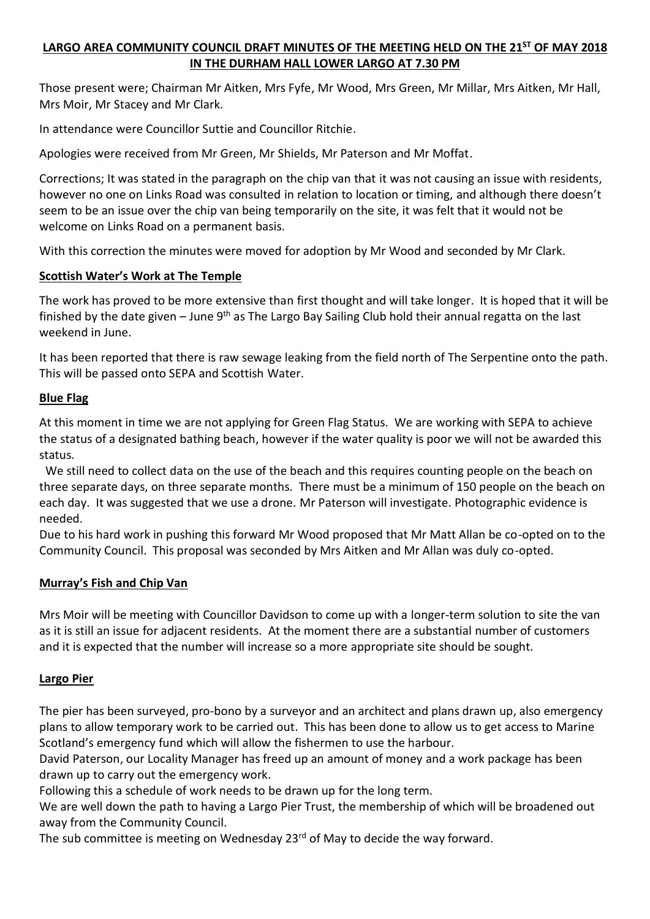# **LARGO AREA COMMUNITY COUNCIL DRAFT MINUTES OF THE MEETING HELD ON THE 21ST OF MAY 2018 IN THE DURHAM HALL LOWER LARGO AT 7.30 PM**

Those present were; Chairman Mr Aitken, Mrs Fyfe, Mr Wood, Mrs Green, Mr Millar, Mrs Aitken, Mr Hall, Mrs Moir, Mr Stacey and Mr Clark.

In attendance were Councillor Suttie and Councillor Ritchie.

Apologies were received from Mr Green, Mr Shields, Mr Paterson and Mr Moffat.

Corrections; It was stated in the paragraph on the chip van that it was not causing an issue with residents, however no one on Links Road was consulted in relation to location or timing, and although there doesn't seem to be an issue over the chip van being temporarily on the site, it was felt that it would not be welcome on Links Road on a permanent basis.

With this correction the minutes were moved for adoption by Mr Wood and seconded by Mr Clark.

## **Scottish Water's Work at The Temple**

The work has proved to be more extensive than first thought and will take longer. It is hoped that it will be finished by the date given – June  $9<sup>th</sup>$  as The Largo Bay Sailing Club hold their annual regatta on the last weekend in June.

It has been reported that there is raw sewage leaking from the field north of The Serpentine onto the path. This will be passed onto SEPA and Scottish Water.

## **Blue Flag**

At this moment in time we are not applying for Green Flag Status. We are working with SEPA to achieve the status of a designated bathing beach, however if the water quality is poor we will not be awarded this status.

 We still need to collect data on the use of the beach and this requires counting people on the beach on three separate days, on three separate months. There must be a minimum of 150 people on the beach on each day. It was suggested that we use a drone. Mr Paterson will investigate. Photographic evidence is needed.

Due to his hard work in pushing this forward Mr Wood proposed that Mr Matt Allan be co-opted on to the Community Council. This proposal was seconded by Mrs Aitken and Mr Allan was duly co-opted.

# **Murray's Fish and Chip Van**

Mrs Moir will be meeting with Councillor Davidson to come up with a longer-term solution to site the van as it is still an issue for adjacent residents. At the moment there are a substantial number of customers and it is expected that the number will increase so a more appropriate site should be sought.

# **Largo Pier**

The pier has been surveyed, pro-bono by a surveyor and an architect and plans drawn up, also emergency plans to allow temporary work to be carried out. This has been done to allow us to get access to Marine Scotland's emergency fund which will allow the fishermen to use the harbour.

David Paterson, our Locality Manager has freed up an amount of money and a work package has been drawn up to carry out the emergency work.

Following this a schedule of work needs to be drawn up for the long term.

We are well down the path to having a Largo Pier Trust, the membership of which will be broadened out away from the Community Council.

The sub committee is meeting on Wednesday 23<sup>rd</sup> of May to decide the way forward.